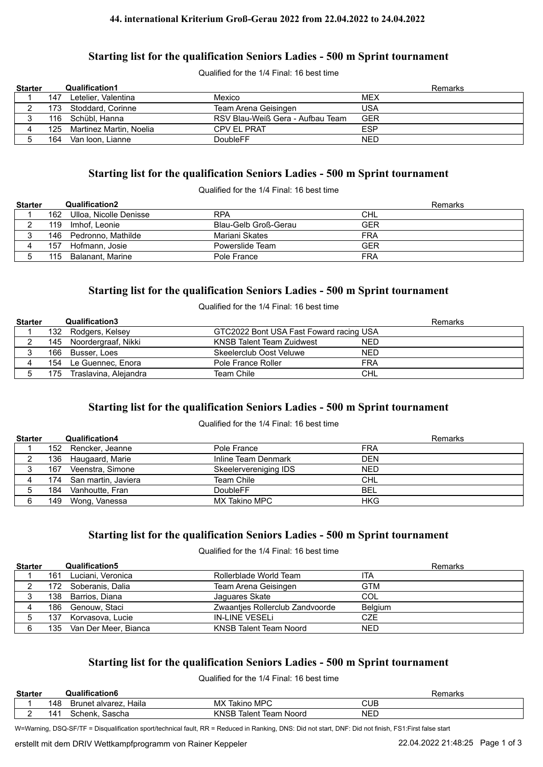#### **44. international Kriterium Groß-Gerau 2022 from 22.04.2022 to 24.04.2022**

# **Starting list for the qualification Seniors Ladies - 500 m Sprint tournament**

Qualified for the 1/4 Final: 16 best time

| <b>Starter</b> |     | <b>Qualification1</b>       |                                  |            | Remarks |
|----------------|-----|-----------------------------|----------------------------------|------------|---------|
|                | 147 | Letelier. Valentina         | Mexico                           | <b>MEX</b> |         |
|                |     | 173 Stoddard, Corinne       | Team Arena Geisingen             | USA        |         |
|                |     | 116 Schübl, Hanna           | RSV Blau-Weiß Gera - Aufbau Team | GER        |         |
|                |     | 125 Martinez Martin, Noelia | <b>CPV EL PRAT</b>               | <b>ESP</b> |         |
|                | 164 | Van Ioon, Lianne            | DoubleFF                         | NED        |         |

## **Starting list for the qualification Seniors Ladies - 500 m Sprint tournament**

Qualified for the 1/4 Final: 16 best time

| <b>Starter</b> |     | <b>Qualification2</b>  |                      | Remarks    |
|----------------|-----|------------------------|----------------------|------------|
|                | 162 | Ulloa, Nicolle Denisse | <b>RPA</b>           | <b>CHL</b> |
|                | 119 | Imhof. Leonie          | Blau-Gelb Groß-Gerau | GER        |
|                | 146 | Pedronno, Mathilde     | Mariani Skates       | FRA        |
|                | 157 | Hofmann, Josie         | Powerslide Team      | GER        |
|                | 115 | Balanant, Marine       | Pole France          | FRA        |

# **Starting list for the qualification Seniors Ladies - 500 m Sprint tournament**

Qualified for the 1/4 Final: 16 best time

| <b>Starter</b> |     | <b>Qualification3</b>   |                                                | Remarks |
|----------------|-----|-------------------------|------------------------------------------------|---------|
|                |     | 132 Rodgers, Kelsey     | GTC2022 Bont USA Fast Foward racing USA        |         |
|                |     | 145 Noordergraaf, Nikki | <b>KNSB Talent Team Zuidwest</b><br><b>NED</b> |         |
|                |     | 166 Busser, Loes        | <b>NED</b><br>Skeelerclub Oost Veluwe          |         |
|                |     | 154 Le Guennec, Enora   | <b>FRA</b><br>Pole France Roller               |         |
|                | 175 | Traslavina, Alejandra   | Team Chile<br><b>CHL</b>                       |         |

# **Starting list for the qualification Seniors Ladies - 500 m Sprint tournament**

#### Qualified for the 1/4 Final: 16 best time

| <b>Starter</b> |     | <b>Qualification4</b>   |                       | Remarks    |
|----------------|-----|-------------------------|-----------------------|------------|
|                |     | 152 Rencker, Jeanne     | Pole France           | <b>FRA</b> |
|                |     | 136 Haugaard, Marie     | Inline Team Denmark   | <b>DEN</b> |
|                | 167 | Veenstra, Simone        | Skeelervereniging IDS | <b>NED</b> |
|                |     | 174 San martin, Javiera | Team Chile            | <b>CHL</b> |
|                | 184 | Vanhoutte, Fran         | <b>DoubleFF</b>       | <b>BEL</b> |
|                |     | 149 Wong, Vanessa       | MX Takino MPC         | <b>HKG</b> |

#### **Starting list for the qualification Seniors Ladies - 500 m Sprint tournament**

Qualified for the 1/4 Final: 16 best time

| <b>Starter</b> |      | <b>Qualification5</b> |                                 | <b>Remarks</b> |
|----------------|------|-----------------------|---------------------------------|----------------|
|                | 161  | Luciani. Veronica     | Rollerblade World Team          | ITA            |
|                | 172. | Soberanis, Dalia      | Team Arena Geisingen            | <b>GTM</b>     |
|                |      | 138 Barrios, Diana    | Jaguares Skate                  | COL            |
|                |      | 186 Genouw, Staci     | Zwaanties Rollerclub Zandvoorde | <b>Belgium</b> |
|                | 137. | Korvasova, Lucie      | <b>IN-LINE VESELI</b>           | <b>CZE</b>     |
|                | 135  | Van Der Meer, Bianca  | <b>KNSB Talent Team Noord</b>   | <b>NED</b>     |

# **Starting list for the qualification Seniors Ladies - 500 m Sprint tournament**

Qualified for the 1/4 Final: 16 best time

| <b>Starter</b> |                 | Qualification6           |                                 | emarks<br>וסר |
|----------------|-----------------|--------------------------|---------------------------------|---------------|
|                | 148             | Haila<br>Brunet alvarez, | Takino MPC<br>MX T              | CUB           |
|                | 14 <sup>4</sup> | Sascha<br>Schenk.        | KNSB<br>Noord<br>Talent<br>leam | <b>NED</b>    |

W=Warning, DSQ-SF/TF = Disqualification sport/technical fault, RR = Reduced in Ranking, DNS: Did not start, DNF: Did not finish, FS1:First false start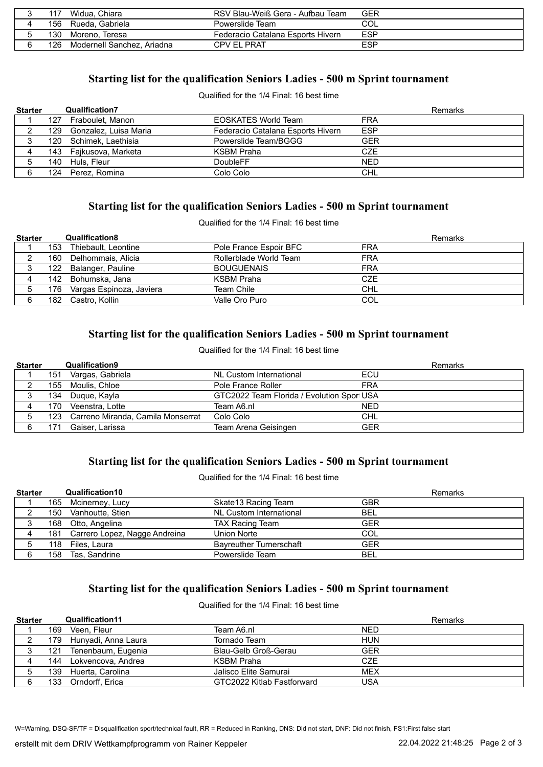| 117  | Widua, Chiara              | RSV Blau-Weiß Gera - Aufbau Team  | GER |
|------|----------------------------|-----------------------------------|-----|
|      | 156 Rueda, Gabriela        | Powerslide Team                   | COL |
| 130  | Moreno. Teresa             | Federacio Catalana Esports Hivern | ESP |
| 126. | Modernell Sanchez. Ariadna | <b>CPV EL PRAT</b>                | ESP |

# **Starting list for the qualification Seniors Ladies - 500 m Sprint tournament**

Qualified for the 1/4 Final: 16 best time

| <b>Starter</b> |      | <b>Qualification7</b>  |                                   | Remarks    |
|----------------|------|------------------------|-----------------------------------|------------|
|                |      | 127 Fraboulet, Manon   | <b>EOSKATES World Team</b>        | <b>FRA</b> |
|                | 129. | Gonzalez, Luisa Maria  | Federacio Catalana Esports Hivern | <b>ESP</b> |
|                |      | 120 Schimek, Laethisia | Powerslide Team/BGGG              | GER        |
|                |      | 143 Fajkusova, Marketa | KSBM Praha                        | CZE        |
|                |      | 140 Huls, Fleur        | <b>DoubleFF</b>                   | <b>NED</b> |
| 6              |      | 124 Perez, Romina      | Colo Colo                         | <b>CHL</b> |

# **Starting list for the qualification Seniors Ladies - 500 m Sprint tournament**

Qualified for the 1/4 Final: 16 best time

| <b>Starter</b> |      | <b>Qualification8</b>        |                        | Remarks    |
|----------------|------|------------------------------|------------------------|------------|
|                | 153. | Thiebault, Leontine          | Pole France Espoir BFC | <b>FRA</b> |
|                | 160  | Delhommais, Alicia           | Rollerblade World Team | <b>FRA</b> |
|                |      | 122 Balanger, Pauline        | <b>BOUGUENAIS</b>      | <b>FRA</b> |
|                |      | 142 Bohumska, Jana           | KSBM Praha             | <b>CZE</b> |
|                |      | 176 Vargas Espinoza, Javiera | Team Chile             | <b>CHL</b> |
| 6              |      | 182 Castro, Kollin           | Valle Oro Puro         | COL        |

# **Starting list for the qualification Seniors Ladies - 500 m Sprint tournament**

Qualified for the 1/4 Final: 16 best time

| <b>Starter</b> |      | <b>Qualification9</b>                 |                                           |            | <b>Remarks</b> |
|----------------|------|---------------------------------------|-------------------------------------------|------------|----------------|
|                | 151  | Vargas, Gabriela                      | NL Custom International                   | ECU        |                |
|                | 155  | Moulis, Chloe                         | Pole France Roller                        | <b>FRA</b> |                |
|                | 134  | Duque, Kayla                          | GTC2022 Team Florida / Evolution Spor USA |            |                |
|                | 170. | Veenstra, Lotte                       | Team A6.nl                                | <b>NED</b> |                |
|                |      | 123 Carreno Miranda, Camila Monserrat | Colo Colo                                 | <b>CHL</b> |                |
|                | 171  | Gaiser. Larissa                       | Team Arena Geisingen                      | <b>GER</b> |                |

# **Starting list for the qualification Seniors Ladies - 500 m Sprint tournament**

Qualified for the 1/4 Final: 16 best time

| <b>Starter</b> |     | Qualification10                   |                                | Remarks    |
|----------------|-----|-----------------------------------|--------------------------------|------------|
|                |     | 165 Mcinerney, Lucy               | Skate 13 Racing Team           | <b>GBR</b> |
|                | 150 | Vanhoutte, Stien                  | NL Custom International        | <b>BEL</b> |
|                |     | 168 Otto, Angelina                | <b>TAX Racing Team</b>         | <b>GER</b> |
|                |     | 181 Carrero Lopez, Nagge Andreina | Union Norte                    | COL        |
|                |     | 118 Files, Laura                  | <b>Bayreuther Turnerschaft</b> | <b>GER</b> |
|                |     | 158 Tas, Sandrine                 | Powerslide Team                | <b>BEL</b> |

# **Starting list for the qualification Seniors Ladies - 500 m Sprint tournament**

Qualified for the 1/4 Final: 16 best time

| <b>Starter</b> |     | <b>Qualification11</b>  |                            | <b>Remarks</b> |
|----------------|-----|-------------------------|----------------------------|----------------|
|                | 169 | Veen. Fleur             | Team A6.nl                 | <b>NED</b>     |
|                |     | 179 Hunyadi, Anna Laura | Tornado Team               | <b>HUN</b>     |
|                | 121 | Tenenbaum, Eugenia      | Blau-Gelb Groß-Gerau       | <b>GER</b>     |
|                | 144 | Lokvencova, Andrea      | <b>KSBM Praha</b>          | <b>CZE</b>     |
|                | 139 | Huerta, Carolina        | Jalisco Elite Samurai      | <b>MEX</b>     |
| 6              | 133 | Orndorff, Erica         | GTC2022 Kitlab Fastforward | USA            |

W=Warning, DSQ-SF/TF = Disqualification sport/technical fault, RR = Reduced in Ranking, DNS: Did not start, DNF: Did not finish, FS1:First false start